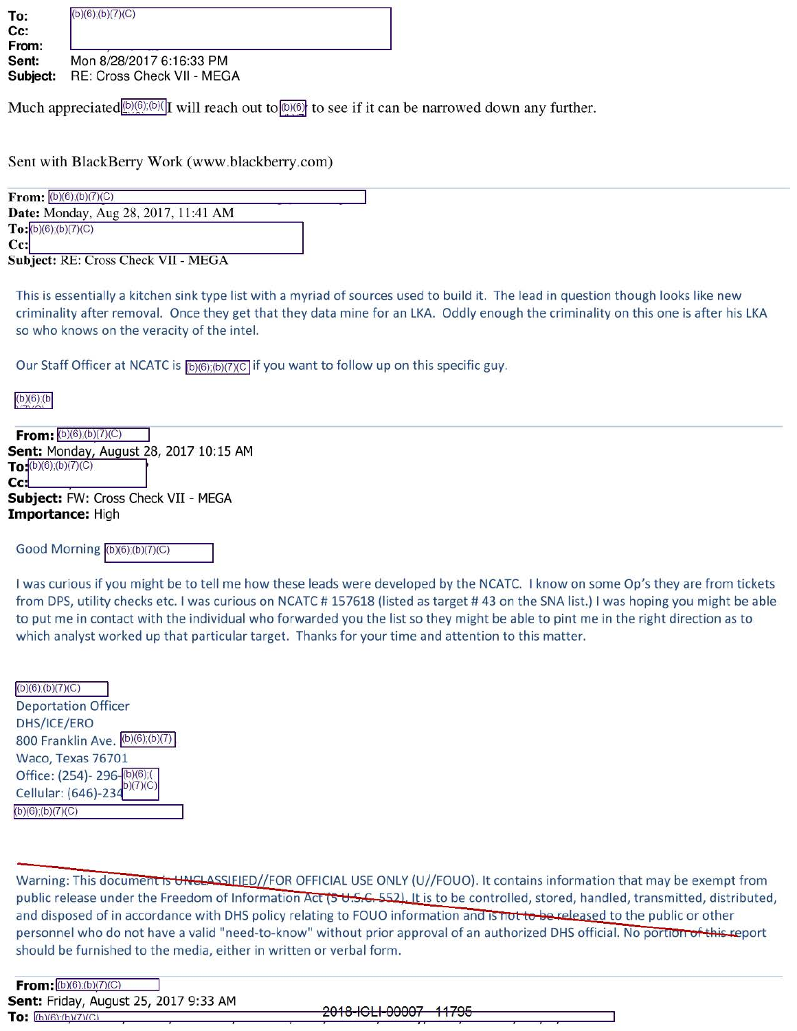| To:<br>Cc:<br>From:<br>Sent:<br>Subject: | $(b)(6)$ ; $(b)(7)(C)$                                 |
|------------------------------------------|--------------------------------------------------------|
|                                          | Mon 8/28/2017 6:16:33 PM<br>RE: Cross Check VII - MEGA |

Much appreciated $\left(\frac{b}{c}\right)$ ,  $\left(\frac{b}{c}\right)$ , will reach out to  $\left(\frac{b}{c}\right)$  to see if it can be narrowed down any further.

Sent with BlackBerry Work (www.blackberry.com)

| <b>From:</b> $(b)(6)(b)(7)(C)$       |  |
|--------------------------------------|--|
| Date: Monday, Aug 28, 2017, 11:41 AM |  |
| To:(b)(6),(b)(7)(C)                  |  |
| Cc:                                  |  |
| Subject: RE: Cross Check VII - MEGA  |  |

This is essentially a kitchen sink type list with a myriad of sources used to build it. The lead in question though looks like new criminality after removal. Once they get that they data mine for an LKA. Oddly enough the criminality on this one is after his LKA so who knows on the veracity of the intel.

Our Staff Officer at NCATC is  $(p)(6)(b)(7)(C)$  if you want to follow up on this specific guy.

| Sent: Monday, August 28, 2017 10:15 AM |
|----------------------------------------|
|                                        |
|                                        |
| Subject: FW: Cross Check VII - MEGA    |
|                                        |
|                                        |

Good Morning  $(b)(6)(b)(7)(C)$ 

I was curious if you might be to tell me how these leads were developed by the NCATC. I know on some Op's they are from tickets from DPS, utility checks etc. I was curious on NCATC #157618 (listed as target #43 on the SNA list.) I was hoping you might be able to put me in contact with the individual who forwarded you the list so they might be able to pint me in the right direction as to which analyst worked up that particular target. Thanks for your time and attention to this matter.

| $(b)(6)$ ; $(b)(7)(C)$                                                 |
|------------------------------------------------------------------------|
| <b>Deportation Officer</b>                                             |
| DHS/ICE/ERO                                                            |
| 800 Franklin Ave. (b)(6);(b)(7)                                        |
| Waco, Texas 76701                                                      |
|                                                                        |
| Office: (254)- 296-(b)(6);(<br>Cellular: (646)-234 <sup>b)(7)(C)</sup> |
| $(6)$ ;(b)(7)(C)                                                       |

Warning: This document is UNCLASSIEIED//FOR OFFICIAL USE ONLY (U//FOUO). It contains information that may be exempt from public release under the Freedom of Information Act (5 U.S.C. 552). It is to be controlled, stored, handled, transmitted, distributed, and disposed of in accordance with DHS policy relating to FOUO information and is not to be released to the public or other personnel who do not have a valid "need-to-know" without prior approval of an authorized DHS official. No portion of this report should be furnished to the media, either in written or verbal form.

| From: (b)(6):(b)(7)(C)                |  |
|---------------------------------------|--|
| Sent: Friday, August 25, 2017 9:33 AM |  |
| To: 10(6)(6)(7)(C)                    |  |

**To:** l1h \£R\ 1h \m1r.\ §018 IGLI *0000!* 117?6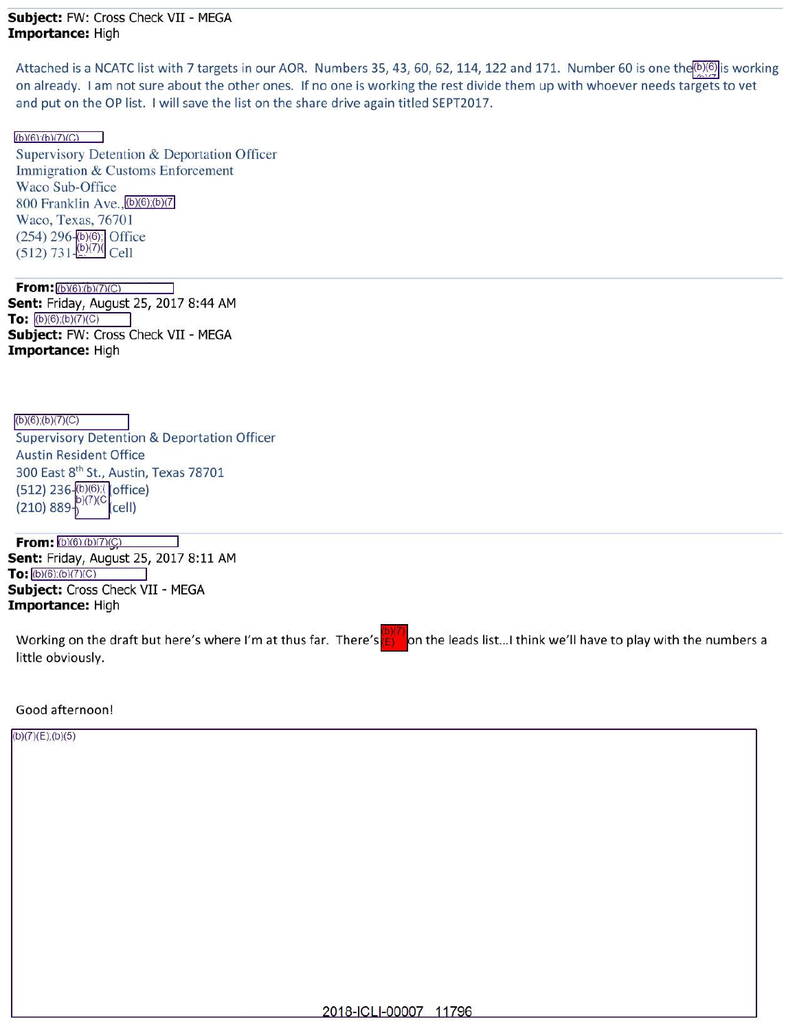## **Subject:** FW: Cross Check VII - MEGA **Importance:** High

Attached is a NCATC list with 7 targets in our AOR. Numbers 35, 43, 60, 62, 114, 122 and 171. Number 60 is one the <sup>(b)(6)</sup> is working on already. I am not sure about the other ones. If no one is working the rest divide them up with whoever needs targets to vet and put on the OP list. I will save the list on the share drive again titled SEPT2017.

 $(h)(6)(h)(7)(C)$ 

Supervisory Detention & Deportation Officer Immigration & Customs Enforcement Waco Sub-Office 800 Franklin  $Ave, (b)(6), (b)(7)$ Waco, Texas, 76701 (254) 296-(b)(6); Office  $(512)$  731- $\frac{(b)(7)}{c}$ Cell

**From:**  $\frac{(b)(6)(b)(7)(C)}{2}$ **Sent:** Friday, August 25, 2017 8:44 AM **To:**  $(b)(6)(b)(7)(C)$ **Subject:** FW: Cross Check VII - MEGA **Importance:** High

 $(b)(6)$ ; $(b)(7)(C)$ Supervisory Detention & Deportation Officer Austin Resident Office 300 East 8<sup>th</sup> St., Austin, Texas 78701  $(512)$  236- $\frac{16}{10}(6)$ ;(forfice)<br>(210) 889- $\frac{16}{10}(7)(C)$  (cell)

**From:**  $(b)(6)(b)(7)(C)$ **Sent:** Friday, August 25, 2017 8:11 AM **To:** (b)(6):(b)(7)(C) **Subject:** Cross Check VII - MEGA **Importance:** High

Working on the draft but here's where I'm at thus far. There's little obviously. on the leads list... I think we'll have to play with the numbers a

## Good afternoon!

(b)(7)(E);(b)(5)